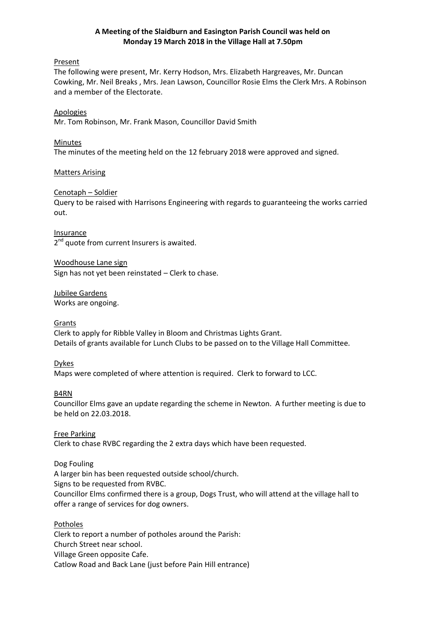## **A Meeting of the Slaidburn and Easington Parish Council was held on Monday 19 March 2018 in the Village Hall at 7.50pm**

### Present

The following were present, Mr. Kerry Hodson, Mrs. Elizabeth Hargreaves, Mr. Duncan Cowking, Mr. Neil Breaks , Mrs. Jean Lawson, Councillor Rosie Elms the Clerk Mrs. A Robinson and a member of the Electorate.

Apologies Mr. Tom Robinson, Mr. Frank Mason, Councillor David Smith

## Minutes The minutes of the meeting held on the 12 february 2018 were approved and signed.

## Matters Arising

## Cenotaph – Soldier

Query to be raised with Harrisons Engineering with regards to guaranteeing the works carried out.

Insurance 2<sup>nd</sup> quote from current Insurers is awaited.

Woodhouse Lane sign Sign has not yet been reinstated – Clerk to chase.

Jubilee Gardens Works are ongoing.

## **Grants**

Clerk to apply for Ribble Valley in Bloom and Christmas Lights Grant. Details of grants available for Lunch Clubs to be passed on to the Village Hall Committee.

### Dykes

Maps were completed of where attention is required. Clerk to forward to LCC.

## B4RN

Councillor Elms gave an update regarding the scheme in Newton. A further meeting is due to be held on 22.03.2018.

### Free Parking

Clerk to chase RVBC regarding the 2 extra days which have been requested.

## Dog Fouling

A larger bin has been requested outside school/church.

Signs to be requested from RVBC.

Councillor Elms confirmed there is a group, Dogs Trust, who will attend at the village hall to offer a range of services for dog owners.

Potholes

Clerk to report a number of potholes around the Parish: Church Street near school. Village Green opposite Cafe. Catlow Road and Back Lane (just before Pain Hill entrance)